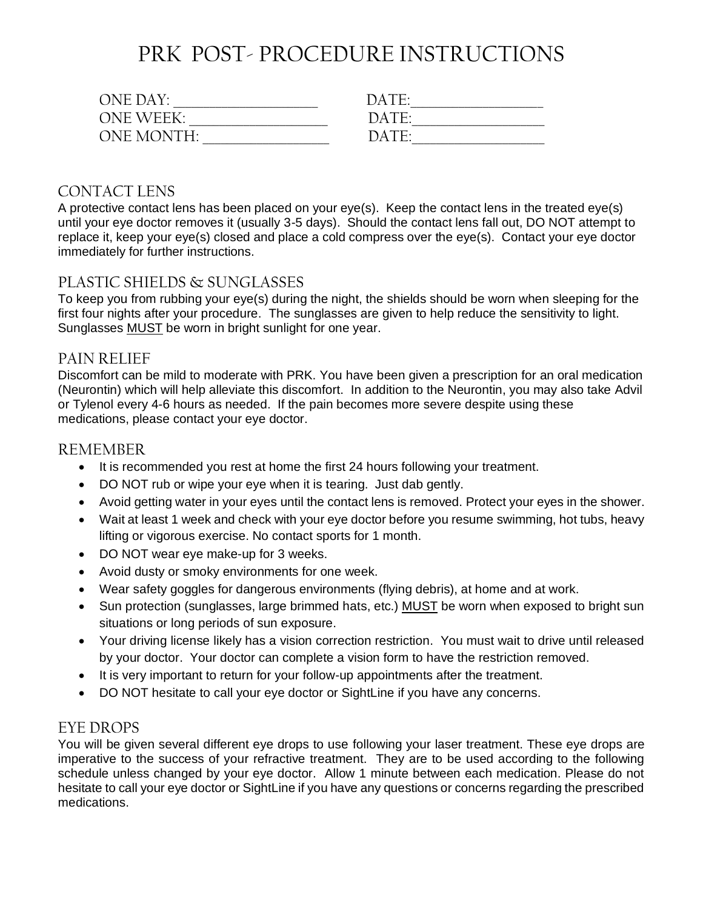## PRK POST- PROCEDURE INSTRUCTIONS

| $ONF$ DAY $\cdot$ | $DATF-$               |
|-------------------|-----------------------|
| $ONF WFFK+$       | DATF·                 |
| ONE MONTH·        | $\Gamma$ ater $\cdot$ |

#### **CONTACT LENS**

A protective contact lens has been placed on your eye(s). Keep the contact lens in the treated eye(s) until your eye doctor removes it (usually 3-5 days). Should the contact lens fall out, DO NOT attempt to replace it, keep your eye(s) closed and place a cold compress over the eye(s). Contact your eye doctor immediately for further instructions.

#### PLASTIC SHIELDS & SUNGLASSES

To keep you from rubbing your eye(s) during the night, the shields should be worn when sleeping for the first four nights after your procedure. The sunglasses are given to help reduce the sensitivity to light. Sunglasses MUST be worn in bright sunlight for one year.

#### PAIN RELIEF

Discomfort can be mild to moderate with PRK. You have been given a prescription for an oral medication (Neurontin) which will help alleviate this discomfort. In addition to the Neurontin, you may also take Advil or Tylenol every 4-6 hours as needed. If the pain becomes more severe despite using these medications, please contact your eye doctor.

#### REMEMBER

- It is recommended you rest at home the first 24 hours following your treatment.
- DO NOT rub or wipe your eye when it is tearing. Just dab gently.
- Avoid getting water in your eyes until the contact lens is removed. Protect your eyes in the shower.
- Wait at least 1 week and check with your eye doctor before you resume swimming, hot tubs, heavy lifting or vigorous exercise. No contact sports for 1 month.
- DO NOT wear eye make-up for 3 weeks.
- Avoid dusty or smoky environments for one week.
- Wear safety goggles for dangerous environments (flying debris), at home and at work.
- Sun protection (sunglasses, large brimmed hats, etc.) MUST be worn when exposed to bright sun situations or long periods of sun exposure.
- Your driving license likely has a vision correction restriction. You must wait to drive until released by your doctor. Your doctor can complete a vision form to have the restriction removed.
- It is very important to return for your follow-up appointments after the treatment.
- DO NOT hesitate to call your eye doctor or SightLine if you have any concerns.

#### EYE DROPS

You will be given several different eye drops to use following your laser treatment. These eye drops are imperative to the success of your refractive treatment. They are to be used according to the following schedule unless changed by your eye doctor. Allow 1 minute between each medication. Please do not hesitate to call your eye doctor or SightLine if you have any questions or concerns regarding the prescribed medications.